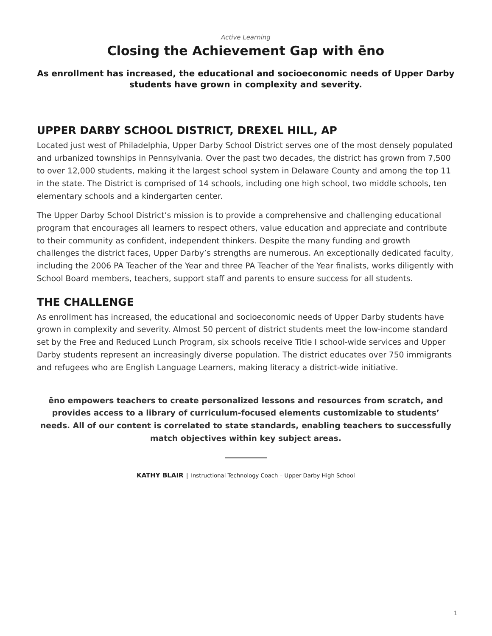# **Closing the Achievement Gap with ēno**

#### <span id="page-0-0"></span>**As enrollment has increased, the educational and socioeconomic needs of Upper Darby students have grown in complexity and severity.**

# **UPPER DARBY SCHOOL DISTRICT, DREXEL HILL, AP**

Located just west of Philadelphia, Upper Darby School District serves one of the most densely populated and urbanized townships in Pennsylvania. Over the past two decades, the district has grown from 7,500 to over 12,000 students, making it the largest school system in Delaware County and among the top 11 in the state. The District is comprised of 14 schools, including one high school, two middle schools, ten elementary schools and a kindergarten center.

The Upper Darby School District's mission is to provide a comprehensive and challenging educational program that encourages all learners to respect others, value education and appreciate and contribute to their community as confident, independent thinkers. Despite the many funding and growth challenges the district faces, Upper Darby's strengths are numerous. An exceptionally dedicated faculty, including the 2006 PA Teacher of the Year and three PA Teacher of the Year finalists, works diligently with School Board members, teachers, support staff and parents to ensure success for all students.

# **THE CHALLENGE**

As enrollment has increased, the educational and socioeconomic needs of Upper Darby students have grown in complexity and severity. Almost 50 percent of district students meet the low-income standard set by the Free and Reduced Lunch Program, six schools receive Title I school-wide services and Upper Darby students represent an increasingly diverse population. The district educates over 750 immigrants and refugees who are English Language Learners, making literacy a district-wide initiative.

**ēno empowers teachers to create personalized lessons and resources from scratch, and provides access to a library of curriculum-focused elements customizable to students' needs. All of our content is correlated to state standards, enabling teachers to successfully match objectives within key subject areas.**

**KATHY BLAIR** | Instructional Technology Coach – Upper Darby High School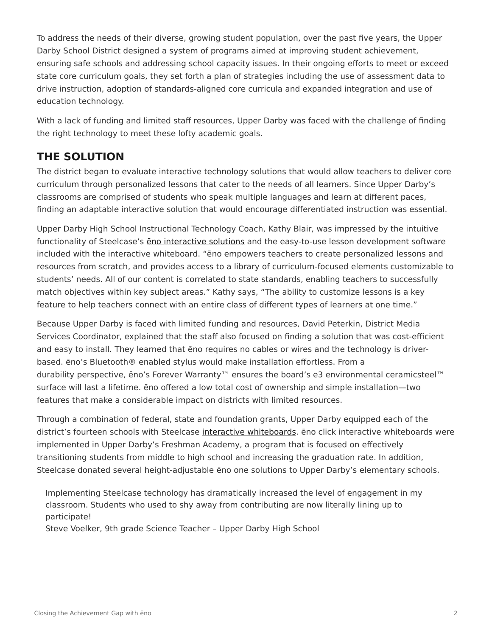To address the needs of their diverse, growing student population, over the past five years, the Upper Darby School District designed a system of programs aimed at improving student achievement, ensuring safe schools and addressing school capacity issues. In their ongoing efforts to meet or exceed state core curriculum goals, they set forth a plan of strategies including the use of assessment data to drive instruction, adoption of standards-aligned core curricula and expanded integration and use of education technology.

With a lack of funding and limited staff resources, Upper Darby was faced with the challenge of finding the right technology to meet these lofty academic goals.

# **THE SOLUTION**

The district began to evaluate interactive technology solutions that would allow teachers to deliver core curriculum through personalized lessons that cater to the needs of all learners. Since Upper Darby's classrooms are comprised of students who speak multiple languages and learn at different paces, finding an adaptable interactive solution that would encourage differentiated instruction was essential.

Upper Darby High School Instructional Technology Coach, Kathy Blair, was impressed by the intuitive functionality of Steelcase's eno interactive solutions and the easy-to-use lesson development software included with the interactive whiteboard. "ēno empowers teachers to create personalized lessons and resources from scratch, and provides access to a library of curriculum-focused elements customizable to students' needs. All of our content is correlated to state standards, enabling teachers to successfully match objectives within key subject areas." Kathy says, "The ability to customize lessons is a key feature to help teachers connect with an entire class of different types of learners at one time."

Because Upper Darby is faced with limited funding and resources, David Peterkin, District Media Services Coordinator, explained that the staff also focused on finding a solution that was cost-efficient and easy to install. They learned that ēno requires no cables or wires and the technology is driverbased. ēno's Bluetooth® enabled stylus would make installation effortless. From a durability perspective, ēno's Forever Warranty™ ensures the board's e3 environmental ceramicsteel™ surface will last a lifetime. ēno offered a low total cost of ownership and simple installation—two features that make a considerable impact on districts with limited resources.

Through a combination of federal, state and foundation grants, Upper Darby equipped each of the district's fourteen schools with Steelcase [interactive whiteboards.](https://www.steelcase.com/products/whiteboards/) eno click interactive whiteboards were implemented in Upper Darby's Freshman Academy, a program that is focused on effectively transitioning students from middle to high school and increasing the graduation rate. In addition, Steelcase donated several height-adjustable ēno one solutions to Upper Darby's elementary schools.

Implementing Steelcase technology has dramatically increased the level of engagement in my classroom. Students who used to shy away from contributing are now literally lining up to participate!

Steve Voelker, 9th grade Science Teacher – Upper Darby High School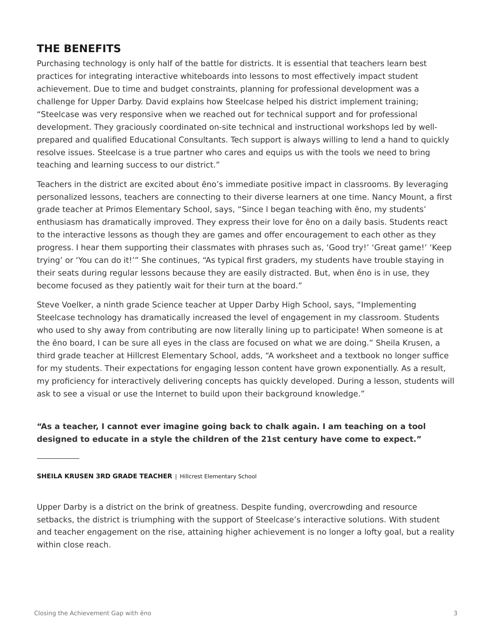# **THE BENEFITS**

Purchasing technology is only half of the battle for districts. It is essential that teachers learn best practices for integrating interactive whiteboards into lessons to most effectively impact student achievement. Due to time and budget constraints, planning for professional development was a challenge for Upper Darby. David explains how Steelcase helped his district implement training; "Steelcase was very responsive when we reached out for technical support and for professional development. They graciously coordinated on-site technical and instructional workshops led by wellprepared and qualified Educational Consultants. Tech support is always willing to lend a hand to quickly resolve issues. Steelcase is a true partner who cares and equips us with the tools we need to bring teaching and learning success to our district."

Teachers in the district are excited about ēno's immediate positive impact in classrooms. By leveraging personalized lessons, teachers are connecting to their diverse learners at one time. Nancy Mount, a first grade teacher at Primos Elementary School, says, "Since I began teaching with ēno, my students' enthusiasm has dramatically improved. They express their love for ēno on a daily basis. Students react to the interactive lessons as though they are games and offer encouragement to each other as they progress. I hear them supporting their classmates with phrases such as, 'Good try!' 'Great game!' 'Keep trying' or 'You can do it!'" She continues, "As typical first graders, my students have trouble staying in their seats during regular lessons because they are easily distracted. But, when ēno is in use, they become focused as they patiently wait for their turn at the board."

Steve Voelker, a ninth grade Science teacher at Upper Darby High School, says, "Implementing Steelcase technology has dramatically increased the level of engagement in my classroom. Students who used to shy away from contributing are now literally lining up to participate! When someone is at the ēno board, I can be sure all eyes in the class are focused on what we are doing." Sheila Krusen, a third grade teacher at Hillcrest Elementary School, adds, "A worksheet and a textbook no longer suffice for my students. Their expectations for engaging lesson content have grown exponentially. As a result, my proficiency for interactively delivering concepts has quickly developed. During a lesson, students will ask to see a visual or use the Internet to build upon their background knowledge."

### **"As a teacher, I cannot ever imagine going back to chalk again. I am teaching on a tool designed to educate in a style the children of the 21st century have come to expect."**

**SHEILA KRUSEN 3RD GRADE TEACHER | Hillcrest Elementary School** 

Upper Darby is a district on the brink of greatness. Despite funding, overcrowding and resource setbacks, the district is triumphing with the support of Steelcase's interactive solutions. With student and teacher engagement on the rise, attaining higher achievement is no longer a lofty goal, but a reality within close reach.